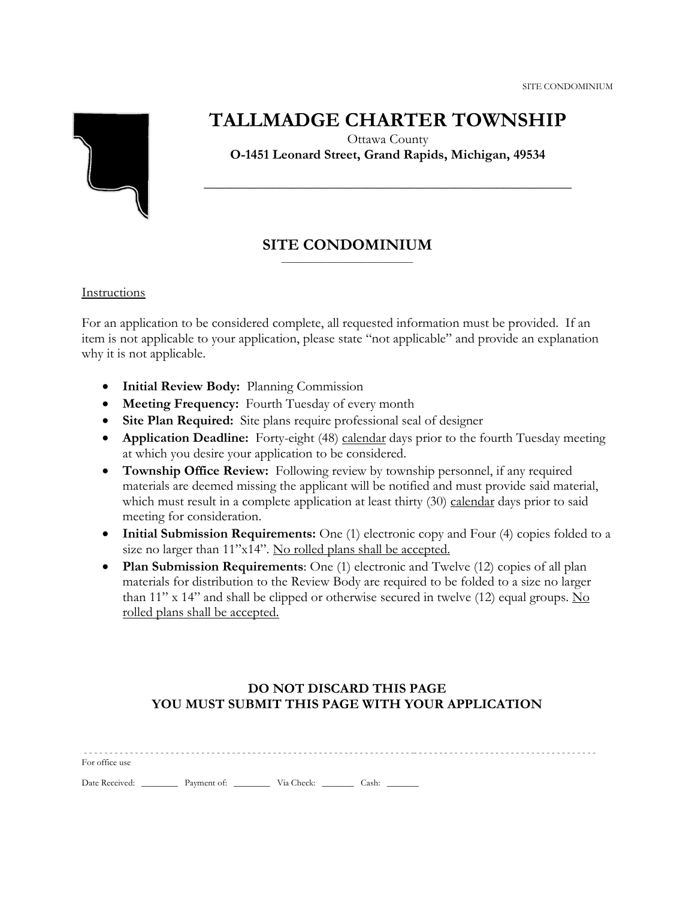

# **TALLMADGE CHARTER TOWNSHIP**

Ottawa County **O-1451 Leonard Street, Grand Rapids, Michigan, 49534**

**\_\_\_\_\_\_\_\_\_\_\_\_\_\_\_\_\_\_\_\_\_\_\_\_\_\_\_\_\_\_\_\_\_\_\_\_\_\_\_\_\_\_\_\_\_\_\_\_\_\_\_\_\_\_**

#### **SITE CONDOMINIUM** \_\_\_\_\_\_\_\_\_\_\_\_\_\_\_\_\_\_\_\_\_\_\_\_\_\_\_\_\_

## Instructions

For an application to be considered complete, all requested information must be provided. If an item is not applicable to your application, please state "not applicable" and provide an explanation why it is not applicable.

- **Initial Review Body:** Planning Commission
- **Meeting Frequency:** Fourth Tuesday of every month
- **Site Plan Required:** Site plans require professional seal of designer
- **Application Deadline:** Forty-eight (48) calendar days prior to the fourth Tuesday meeting at which you desire your application to be considered.
- **Township Office Review:** Following review by township personnel, if any required materials are deemed missing the applicant will be notified and must provide said material, which must result in a complete application at least thirty (30) calendar days prior to said meeting for consideration.
- **Initial Submission Requirements:** One (1) electronic copy and Four (4) copies folded to a size no larger than 11"x14". No rolled plans shall be accepted.
- **Plan Submission Requirements**: One (1) electronic and Twelve (12) copies of all plan materials for distribution to the Review Body are required to be folded to a size no larger than 11" x 14" and shall be clipped or otherwise secured in twelve (12) equal groups. No rolled plans shall be accepted.

## **DO NOT DISCARD THIS PAGE YOU MUST SUBMIT THIS PAGE WITH YOUR APPLICATION**

| For office use |                        |  |                |  |  |  |  |
|----------------|------------------------|--|----------------|--|--|--|--|
| Date Received: | Payment of: Via Check: |  | $\angle$ Cash: |  |  |  |  |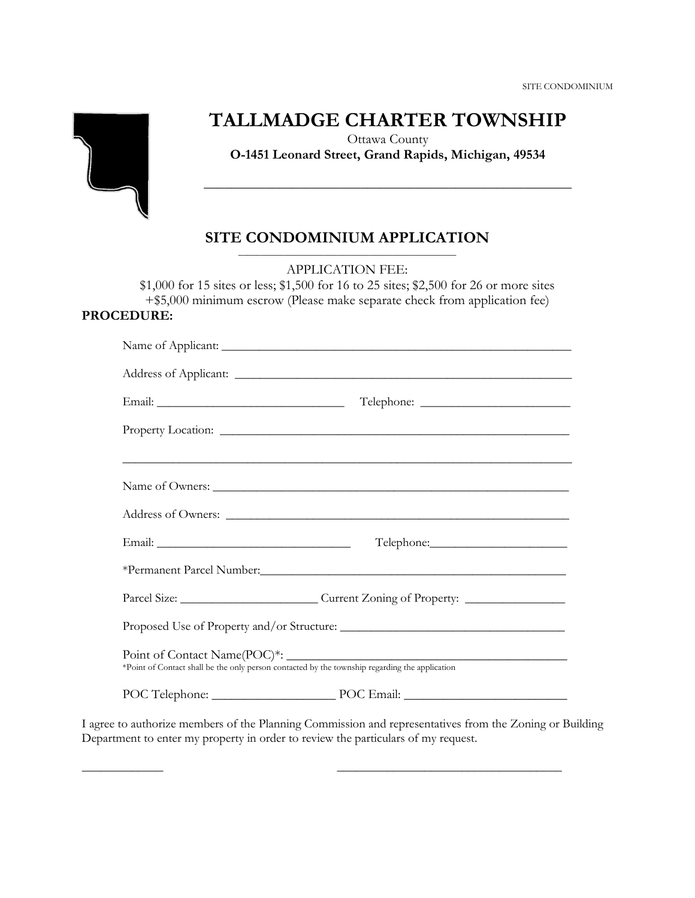

# **TALLMADGE CHARTER TOWNSHIP**

Ottawa County **O-1451 Leonard Street, Grand Rapids, Michigan, 49534**

**\_\_\_\_\_\_\_\_\_\_\_\_\_\_\_\_\_\_\_\_\_\_\_\_\_\_\_\_\_\_\_\_\_\_\_\_\_\_\_\_\_\_\_\_\_\_\_\_\_\_\_\_\_\_**

#### **SITE CONDOMINIUM APPLICATION** \_\_\_\_\_\_\_\_\_\_\_\_\_\_\_\_\_\_\_\_\_\_\_\_\_\_\_\_\_\_\_\_\_\_\_\_\_\_\_\_\_\_\_\_\_\_\_\_

APPLICATION FEE:

\$1,000 for 15 sites or less; \$1,500 for 16 to 25 sites; \$2,500 for 26 or more sites +\$5,000 minimum escrow (Please make separate check from application fee) **PROCEDURE:**

|                                                                                                | ,我们也不能在这里的时候,我们也不能在这里的时候,我们也不能在这里的时候,我们也不能会在这里的时候,我们也不能会在这里的时候,我们也不能会在这里的时候,我们也不能 |  |  |  |  |  |
|------------------------------------------------------------------------------------------------|-----------------------------------------------------------------------------------|--|--|--|--|--|
|                                                                                                |                                                                                   |  |  |  |  |  |
|                                                                                                |                                                                                   |  |  |  |  |  |
|                                                                                                |                                                                                   |  |  |  |  |  |
|                                                                                                |                                                                                   |  |  |  |  |  |
| Parcel Size: ____________________________Current Zoning of Property: ____________              |                                                                                   |  |  |  |  |  |
|                                                                                                |                                                                                   |  |  |  |  |  |
| *Point of Contact shall be the only person contacted by the township regarding the application |                                                                                   |  |  |  |  |  |
|                                                                                                | POC Telephone: POC Email: POC Email:                                              |  |  |  |  |  |

I agree to authorize members of the Planning Commission and representatives from the Zoning or Building Department to enter my property in order to review the particulars of my request.

\_\_\_\_\_\_\_\_\_\_\_\_\_ \_\_\_\_\_\_\_\_\_\_\_\_\_\_\_\_\_\_\_\_\_\_\_\_\_\_\_\_\_\_\_\_\_\_\_\_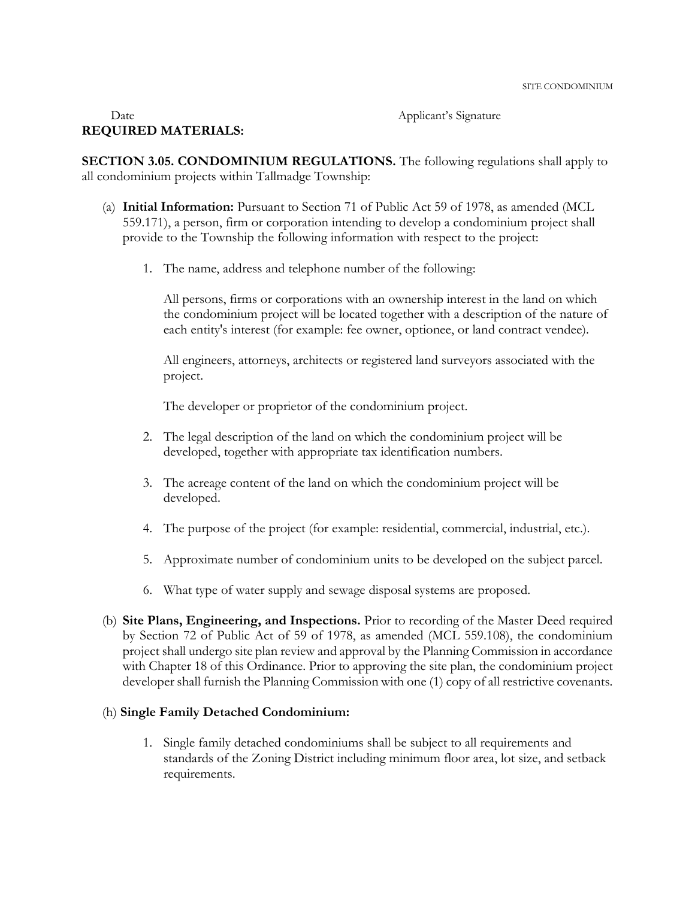#### Date Applicant's Signature **REQUIRED MATERIALS:**

**SECTION 3.05. CONDOMINIUM REGULATIONS.** The following regulations shall apply to all condominium projects within Tallmadge Township:

- (a) **Initial Information:** Pursuant to Section 71 of Public Act 59 of 1978, as amended (MCL 559.171), a person, firm or corporation intending to develop a condominium project shall provide to the Township the following information with respect to the project:
	- 1. The name, address and telephone number of the following:

All persons, firms or corporations with an ownership interest in the land on which the condominium project will be located together with a description of the nature of each entity's interest (for example: fee owner, optionee, or land contract vendee).

All engineers, attorneys, architects or registered land surveyors associated with the project.

The developer or proprietor of the condominium project.

- 2. The legal description of the land on which the condominium project will be developed, together with appropriate tax identification numbers.
- 3. The acreage content of the land on which the condominium project will be developed.
- 4. The purpose of the project (for example: residential, commercial, industrial, etc.).
- 5. Approximate number of condominium units to be developed on the subject parcel.
- 6. What type of water supply and sewage disposal systems are proposed.
- (b) **Site Plans, Engineering, and Inspections.** Prior to recording of the Master Deed required by Section 72 of Public Act of 59 of 1978, as amended (MCL 559.108), the condominium project shall undergo site plan review and approval by the Planning Commission in accordance with Chapter 18 of this Ordinance. Prior to approving the site plan, the condominium project developer shall furnish the Planning Commission with one (1) copy of all restrictive covenants.

#### (h) **Single Family Detached Condominium:**

1. Single family detached condominiums shall be subject to all requirements and standards of the Zoning District including minimum floor area, lot size, and setback requirements.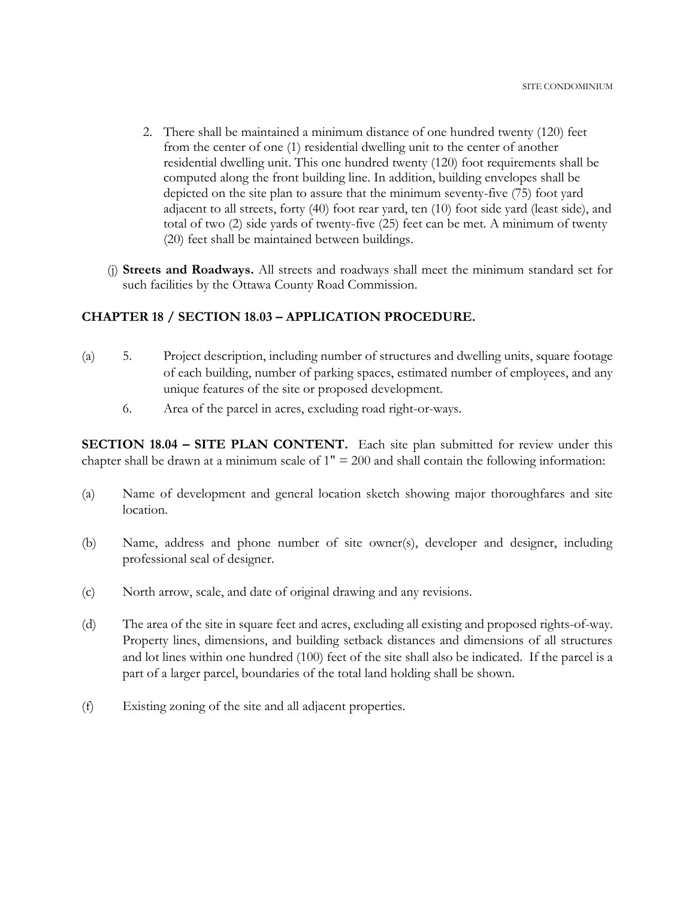- 2. There shall be maintained a minimum distance of one hundred twenty (120) feet from the center of one (1) residential dwelling unit to the center of another residential dwelling unit. This one hundred twenty (120) foot requirements shall be computed along the front building line. In addition, building envelopes shall be depicted on the site plan to assure that the minimum seventy-five (75) foot yard adjacent to all streets, forty (40) foot rear yard, ten (10) foot side yard (least side), and total of two (2) side yards of twenty-five (25) feet can be met. A minimum of twenty (20) feet shall be maintained between buildings.
- (j) **Streets and Roadways.** All streets and roadways shall meet the minimum standard set for such facilities by the Ottawa County Road Commission.

### **CHAPTER 18 / SECTION 18.03 – APPLICATION PROCEDURE.**

- (a) 5. Project description, including number of structures and dwelling units, square footage of each building, number of parking spaces, estimated number of employees, and any unique features of the site or proposed development.
	- 6. Area of the parcel in acres, excluding road right-or-ways.

**SECTION 18.04 – SITE PLAN CONTENT.** Each site plan submitted for review under this chapter shall be drawn at a minimum scale of  $1" = 200$  and shall contain the following information:

- (a) Name of development and general location sketch showing major thoroughfares and site location.
- (b) Name, address and phone number of site owner(s), developer and designer, including professional seal of designer.
- (c) North arrow, scale, and date of original drawing and any revisions.
- (d) The area of the site in square feet and acres, excluding all existing and proposed rights-of-way. Property lines, dimensions, and building setback distances and dimensions of all structures and lot lines within one hundred (100) feet of the site shall also be indicated. If the parcel is a part of a larger parcel, boundaries of the total land holding shall be shown.
- (f) Existing zoning of the site and all adjacent properties.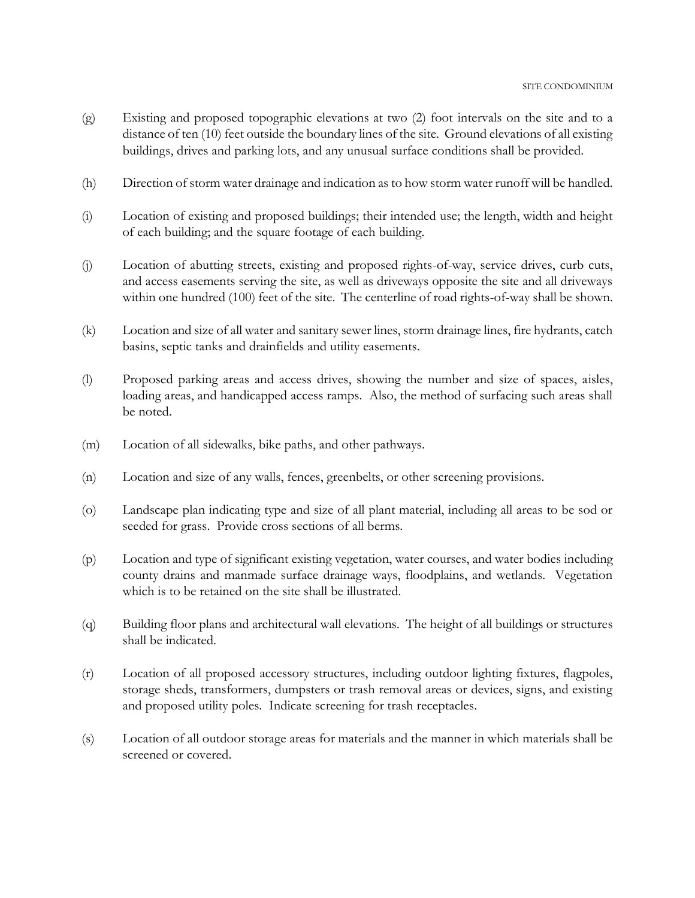- (g) Existing and proposed topographic elevations at two (2) foot intervals on the site and to a distance of ten (10) feet outside the boundary lines of the site. Ground elevations of all existing buildings, drives and parking lots, and any unusual surface conditions shall be provided.
- (h) Direction of storm water drainage and indication as to how storm water runoff will be handled.
- (i) Location of existing and proposed buildings; their intended use; the length, width and height of each building; and the square footage of each building.
- (j) Location of abutting streets, existing and proposed rights-of-way, service drives, curb cuts, and access easements serving the site, as well as driveways opposite the site and all driveways within one hundred (100) feet of the site. The centerline of road rights-of-way shall be shown.
- (k) Location and size of all water and sanitary sewer lines, storm drainage lines, fire hydrants, catch basins, septic tanks and drainfields and utility easements.
- (l) Proposed parking areas and access drives, showing the number and size of spaces, aisles, loading areas, and handicapped access ramps. Also, the method of surfacing such areas shall be noted.
- (m) Location of all sidewalks, bike paths, and other pathways.
- (n) Location and size of any walls, fences, greenbelts, or other screening provisions.
- (o) Landscape plan indicating type and size of all plant material, including all areas to be sod or seeded for grass. Provide cross sections of all berms.
- (p) Location and type of significant existing vegetation, water courses, and water bodies including county drains and manmade surface drainage ways, floodplains, and wetlands. Vegetation which is to be retained on the site shall be illustrated.
- (q) Building floor plans and architectural wall elevations. The height of all buildings or structures shall be indicated.
- (r) Location of all proposed accessory structures, including outdoor lighting fixtures, flagpoles, storage sheds, transformers, dumpsters or trash removal areas or devices, signs, and existing and proposed utility poles. Indicate screening for trash receptacles.
- (s) Location of all outdoor storage areas for materials and the manner in which materials shall be screened or covered.